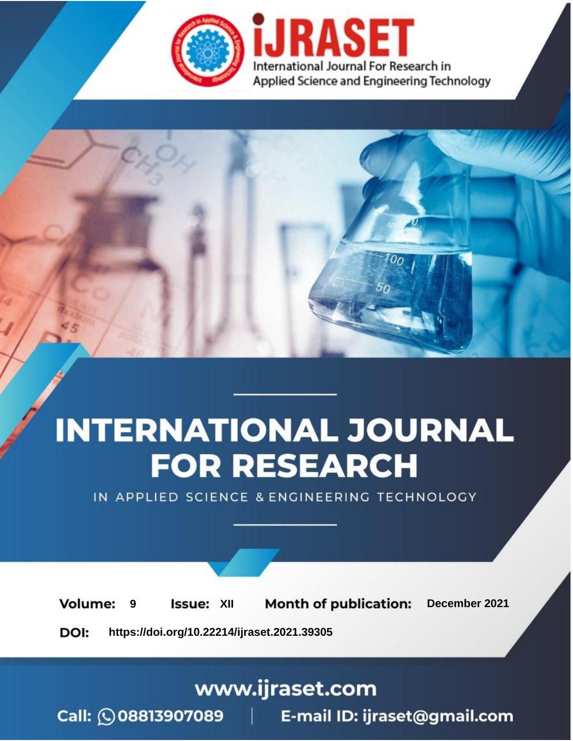

# **INTERNATIONAL JOURNAL FOR RESEARCH**

IN APPLIED SCIENCE & ENGINEERING TECHNOLOGY

**Month of publication: Volume: Issue: XII** December 2021 9 DOI: https://doi.org/10.22214/ijraset.2021.39305

www.ijraset.com

Call: 008813907089 | E-mail ID: ijraset@gmail.com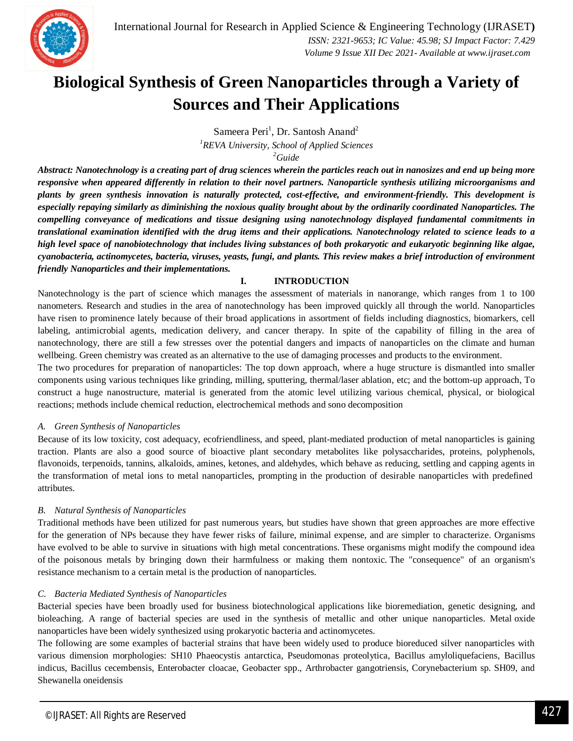### **Biological Synthesis of Green Nanoparticles through a Variety of Sources and Their Applications**

Sameera Peri<sup>1</sup>, Dr. Santosh Anand<sup>2</sup> *<sup>1</sup>REVA University, School of Applied Sciences <sup>2</sup>Guide*

*Abstract: Nanotechnology is a creating part of drug sciences wherein the particles reach out in nanosizes and end up being more responsive when appeared differently in relation to their novel partners. Nanoparticle synthesis utilizing microorganisms and plants by green synthesis innovation is naturally protected, cost-effective, and environment-friendly. This development is especially repaying similarly as diminishing the noxious quality brought about by the ordinarily coordinated Nanoparticles. The compelling conveyance of medications and tissue designing using nanotechnology displayed fundamental commitments in translational examination identified with the drug items and their applications. Nanotechnology related to science leads to a high level space of nanobiotechnology that includes living substances of both prokaryotic and eukaryotic beginning like algae, cyanobacteria, actinomycetes, bacteria, viruses, yeasts, fungi, and plants. This review makes a brief introduction of environment friendly Nanoparticles and their implementations.*

### **I. INTRODUCTION**

Nanotechnology is the part of science which manages the assessment of materials in nanorange, which ranges from 1 to 100 nanometers. Research and studies in the area of nanotechnology has been improved quickly all through the world. Nanoparticles have risen to prominence lately because of their broad applications in assortment of fields including diagnostics, biomarkers, cell labeling, antimicrobial agents, medication delivery, and cancer therapy. In spite of the capability of filling in the area of nanotechnology, there are still a few stresses over the potential dangers and impacts of nanoparticles on the climate and human wellbeing. Green chemistry was created as an alternative to the use of damaging processes and products to the environment.

The two procedures for preparation of nanoparticles: The top down approach, where a huge structure is dismantled into smaller components using various techniques like grinding, milling, sputtering, thermal/laser ablation, etc; and the bottom-up approach, To construct a huge nanostructure, material is generated from the atomic level utilizing various chemical, physical, or biological reactions; methods include chemical reduction, electrochemical methods and sono decomposition

### *A. Green Synthesis of Nanoparticles*

Because of its low toxicity, cost adequacy, ecofriendliness, and speed, plant-mediated production of metal nanoparticles is gaining traction. Plants are also a good source of bioactive plant secondary metabolites like polysaccharides, proteins, polyphenols, flavonoids, terpenoids, tannins, alkaloids, amines, ketones, and aldehydes, which behave as reducing, settling and capping agents in the transformation of metal ions to metal nanoparticles, prompting in the production of desirable nanoparticles with predefined attributes.

### *B. Natural Synthesis of Nanoparticles*

Traditional methods have been utilized for past numerous years, but studies have shown that green approaches are more effective for the generation of NPs because they have fewer risks of failure, minimal expense, and are simpler to characterize. Organisms have evolved to be able to survive in situations with high metal concentrations. These organisms might modify the compound idea of the poisonous metals by bringing down their harmfulness or making them nontoxic. The "consequence" of an organism's resistance mechanism to a certain metal is the production of nanoparticles.

### *C. Bacteria Mediated Synthesis of Nanoparticles*

Bacterial species have been broadly used for business biotechnological applications like bioremediation, genetic designing, and bioleaching. A range of bacterial species are used in the synthesis of metallic and other unique nanoparticles. Metal oxide nanoparticles have been widely synthesized using prokaryotic bacteria and actinomycetes.

The following are some examples of bacterial strains that have been widely used to produce bioreduced silver nanoparticles with various dimension morphologies: SH10 Phaeocystis antarctica, Pseudomonas proteolytica, Bacillus amyloliquefaciens, Bacillus indicus, Bacillus cecembensis, Enterobacter cloacae, Geobacter spp., Arthrobacter gangotriensis, Corynebacterium sp. SH09, and Shewanella oneidensis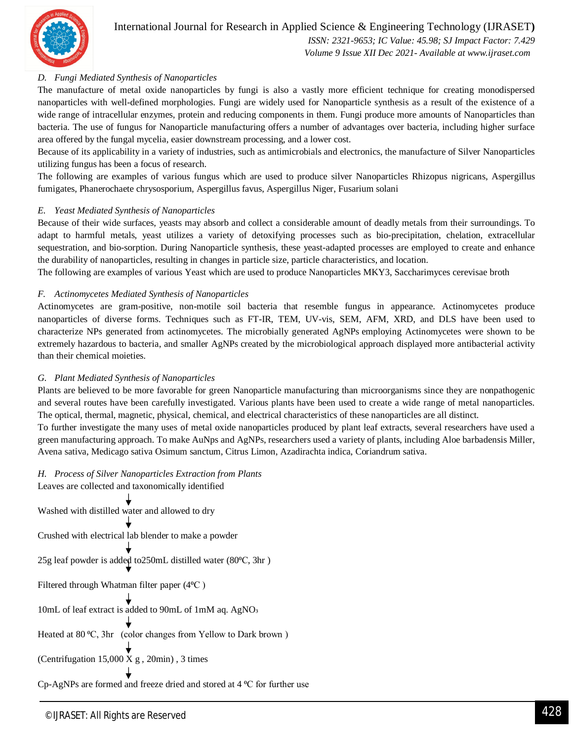

#### *D. Fungi Mediated Synthesis of Nanoparticles*

The manufacture of metal oxide nanoparticles by fungi is also a vastly more efficient technique for creating monodispersed nanoparticles with well-defined morphologies. Fungi are widely used for Nanoparticle synthesis as a result of the existence of a wide range of intracellular enzymes, protein and reducing components in them. Fungi produce more amounts of Nanoparticles than bacteria. The use of fungus for Nanoparticle manufacturing offers a number of advantages over bacteria, including higher surface area offered by the fungal mycelia, easier downstream processing, and a lower cost.

Because of its applicability in a variety of industries, such as antimicrobials and electronics, the manufacture of Silver Nanoparticles utilizing fungus has been a focus of research.

The following are examples of various fungus which are used to produce silver Nanoparticles Rhizopus nigricans, Aspergillus fumigates, Phanerochaete chrysosporium, Aspergillus favus, Aspergillus Niger, Fusarium solani

#### *E. Yeast Mediated Synthesis of Nanoparticles*

Because of their wide surfaces, yeasts may absorb and collect a considerable amount of deadly metals from their surroundings. To adapt to harmful metals, yeast utilizes a variety of detoxifying processes such as bio-precipitation, chelation, extracellular sequestration, and bio-sorption. During Nanoparticle synthesis, these yeast-adapted processes are employed to create and enhance the durability of nanoparticles, resulting in changes in particle size, particle characteristics, and location.

The following are examples of various Yeast which are used to produce Nanoparticles MKY3, Saccharimyces cerevisae broth

#### *F. Actinomycetes Mediated Synthesis of Nanoparticles*

Actinomycetes are gram-positive, non-motile soil bacteria that resemble fungus in appearance. Actinomycetes produce nanoparticles of diverse forms. Techniques such as FT-IR, TEM, UV-vis, SEM, AFM, XRD, and DLS have been used to characterize NPs generated from actinomycetes. The microbially generated AgNPs employing Actinomycetes were shown to be extremely hazardous to bacteria, and smaller AgNPs created by the microbiological approach displayed more antibacterial activity than their chemical moieties.

#### *G. Plant Mediated Synthesis of Nanoparticles*

Plants are believed to be more favorable for green Nanoparticle manufacturing than microorganisms since they are nonpathogenic and several routes have been carefully investigated. Various plants have been used to create a wide range of metal nanoparticles. The optical, thermal, magnetic, physical, chemical, and electrical characteristics of these nanoparticles are all distinct.

To further investigate the many uses of metal oxide nanoparticles produced by plant leaf extracts, several researchers have used a green manufacturing approach. To make AuNps and AgNPs, researchers used a variety of plants, including Aloe barbadensis Miller, Avena sativa, Medicago sativa Osimum sanctum, Citrus Limon, Azadirachta indica, Coriandrum sativa.

#### *H. Process of Silver Nanoparticles Extraction from Plants*

Leaves are collected and taxonomically identified Washed with distilled water and allowed to dry Crushed with electrical lab blender to make a powder 25g leaf powder is added to 250mL distilled water (80°C, 3hr) Filtered through Whatman filter paper (4<sup>o</sup>C) 10mL of leaf extract is added to 90mL of 1mM aq. AgNO<sub>3</sub> Heated at 80 °C, 3hr (color changes from Yellow to Dark brown) (Centrifugation 15,000 X g , 20min) , 3 times Cp-AgNPs are formed and freeze dried and stored at 4 °C for further use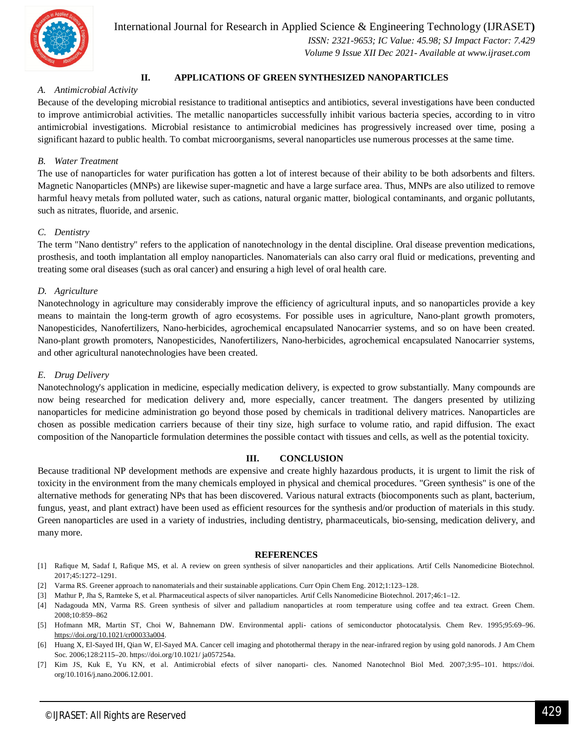

International Journal for Research in Applied Science & Engineering Technology (IJRASET**)**  *ISSN: 2321-9653; IC Value: 45.98; SJ Impact Factor: 7.429*

 *Volume 9 Issue XII Dec 2021- Available at www.ijraset.com*

#### **II. APPLICATIONS OF GREEN SYNTHESIZED NANOPARTICLES**

#### *A. Antimicrobial Activity*

Because of the developing microbial resistance to traditional antiseptics and antibiotics, several investigations have been conducted to improve antimicrobial activities. The metallic nanoparticles successfully inhibit various bacteria species, according to in vitro antimicrobial investigations. Microbial resistance to antimicrobial medicines has progressively increased over time, posing a significant hazard to public health. To combat microorganisms, several nanoparticles use numerous processes at the same time.

#### *B. Water Treatment*

The use of nanoparticles for water purification has gotten a lot of interest because of their ability to be both adsorbents and filters. Magnetic Nanoparticles (MNPs) are likewise super-magnetic and have a large surface area. Thus, MNPs are also utilized to remove harmful heavy metals from polluted water, such as cations, natural organic matter, biological contaminants, and organic pollutants, such as nitrates, fluoride, and arsenic.

#### *C. Dentistry*

The term "Nano dentistry" refers to the application of nanotechnology in the dental discipline. Oral disease prevention medications, prosthesis, and tooth implantation all employ nanoparticles. Nanomaterials can also carry oral fluid or medications, preventing and treating some oral diseases (such as oral cancer) and ensuring a high level of oral health care.

#### *D. Agriculture*

Nanotechnology in agriculture may considerably improve the efficiency of agricultural inputs, and so nanoparticles provide a key means to maintain the long-term growth of agro ecosystems. For possible uses in agriculture, Nano-plant growth promoters, Nanopesticides, Nanofertilizers, Nano-herbicides, agrochemical encapsulated Nanocarrier systems, and so on have been created. Nano-plant growth promoters, Nanopesticides, Nanofertilizers, Nano-herbicides, agrochemical encapsulated Nanocarrier systems, and other agricultural nanotechnologies have been created.

#### *E. Drug Delivery*

Nanotechnology's application in medicine, especially medication delivery, is expected to grow substantially. Many compounds are now being researched for medication delivery and, more especially, cancer treatment. The dangers presented by utilizing nanoparticles for medicine administration go beyond those posed by chemicals in traditional delivery matrices. Nanoparticles are chosen as possible medication carriers because of their tiny size, high surface to volume ratio, and rapid diffusion. The exact composition of the Nanoparticle formulation determines the possible contact with tissues and cells, as well as the potential toxicity.

#### **III. CONCLUSION**

Because traditional NP development methods are expensive and create highly hazardous products, it is urgent to limit the risk of toxicity in the environment from the many chemicals employed in physical and chemical procedures. "Green synthesis" is one of the alternative methods for generating NPs that has been discovered. Various natural extracts (biocomponents such as plant, bacterium, fungus, yeast, and plant extract) have been used as efficient resources for the synthesis and/or production of materials in this study. Green nanoparticles are used in a variety of industries, including dentistry, pharmaceuticals, bio-sensing, medication delivery, and many more.

#### **REFERENCES**

- [1] Rafique M, Sadaf I, Rafique MS, et al. A review on green synthesis of silver nanoparticles and their applications. Artif Cells Nanomedicine Biotechnol. 2017;45:1272–1291.
- [2] Varma RS. Greener approach to nanomaterials and their sustainable applications. Curr Opin Chem Eng. 2012;1:123–128.
- [3] Mathur P, Jha S, Ramteke S, et al. Pharmaceutical aspects of silver nanoparticles. Artif Cells Nanomedicine Biotechnol. 2017;46:1–12.
- [4] Nadagouda MN, Varma RS. Green synthesis of silver and palladium nanoparticles at room temperature using coffee and tea extract. Green Chem. 2008;10:859–862
- [5] Hofmann MR, Martin ST, Choi W, Bahnemann DW. Environmental appli- cations of semiconductor photocatalysis. Chem Rev. 1995;95:69–96. https://doi.org/10.1021/cr00033a004.
- [6] Huang X, El-Sayed IH, Qian W, El-Sayed MA. Cancer cell imaging and photothermal therapy in the near-infrared region by using gold nanorods. J Am Chem Soc. 2006;128:2115–20. https://doi.org/10.1021/ ja057254a.
- [7] Kim JS, Kuk E, Yu KN, et al. Antimicrobial efects of silver nanoparti- cles. Nanomed Nanotechnol Biol Med. 2007;3:95–101. https://doi. org/10.1016/j.nano.2006.12.001.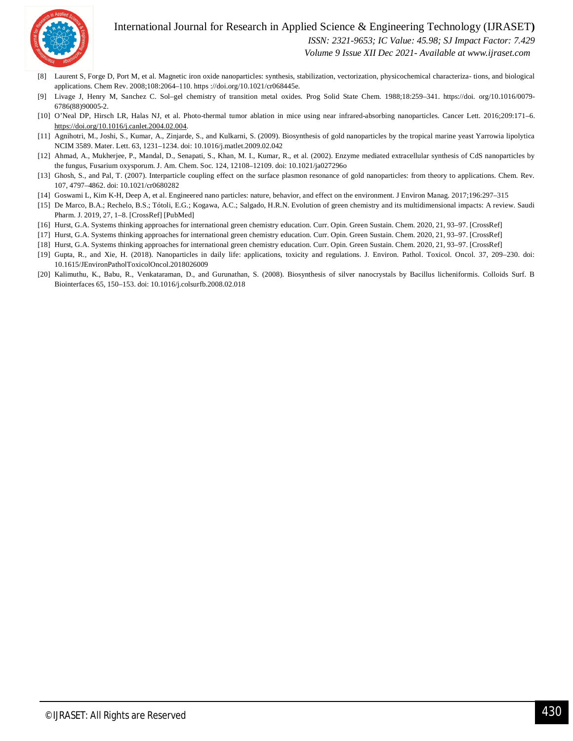#### International Journal for Research in Applied Science & Engineering Technology (IJRASET**)**



 *ISSN: 2321-9653; IC Value: 45.98; SJ Impact Factor: 7.429*

 *Volume 9 Issue XII Dec 2021- Available at www.ijraset.com*

- [8] Laurent S, Forge D, Port M, et al. Magnetic iron oxide nanoparticles: synthesis, stabilization, vectorization, physicochemical characteriza- tions, and biological applications. Chem Rev. 2008;108:2064–110. https ://doi.org/10.1021/cr068445e.
- [9] Livage J, Henry M, Sanchez C. Sol–gel chemistry of transition metal oxides. Prog Solid State Chem. 1988;18:259–341. https://doi. org/10.1016/0079- 6786(88)90005-2.
- [10] O'Neal DP, Hirsch LR, Halas NJ, et al. Photo-thermal tumor ablation in mice using near infrared-absorbing nanoparticles. Cancer Lett. 2016;209:171–6. https://doi.org/10.1016/j.canlet.2004.02.004.
- [11] Agnihotri, M., Joshi, S., Kumar, A., Zinjarde, S., and Kulkarni, S. (2009). Biosynthesis of gold nanoparticles by the tropical marine yeast Yarrowia lipolytica NCIM 3589. Mater. Lett. 63, 1231–1234. doi: 10.1016/j.matlet.2009.02.042
- [12] Ahmad, A., Mukherjee, P., Mandal, D., Senapati, S., Khan, M. I., Kumar, R., et al. (2002). Enzyme mediated extracellular synthesis of CdS nanoparticles by the fungus, Fusarium oxysporum. J. Am. Chem. Soc. 124, 12108–12109. doi: 10.1021/ja027296o
- [13] Ghosh, S., and Pal, T. (2007). Interparticle coupling effect on the surface plasmon resonance of gold nanoparticles: from theory to applications. Chem. Rev. 107, 4797–4862. doi: 10.1021/cr0680282
- [14] Goswami L, Kim K-H, Deep A, et al. Engineered nano particles: nature, behavior, and effect on the environment. J Environ Manag. 2017;196:297–315
- [15] De Marco, B.A.; Rechelo, B.S.; Tótoli, E.G.; Kogawa, A.C.; Salgado, H.R.N. Evolution of green chemistry and its multidimensional impacts: A review. Saudi Pharm. J. 2019, 27, 1–8. [CrossRef] [PubMed]
- [16] Hurst, G.A. Systems thinking approaches for international green chemistry education. Curr. Opin. Green Sustain. Chem. 2020, 21, 93–97. [CrossRef]
- [17] Hurst, G.A. Systems thinking approaches for international green chemistry education. Curr. Opin. Green Sustain. Chem. 2020, 21, 93–97. [CrossRef]
- [18] Hurst, G.A. Systems thinking approaches for international green chemistry education. Curr. Opin. Green Sustain. Chem. 2020, 21, 93–97. [CrossRef]
- [19] Gupta, R., and Xie, H. (2018). Nanoparticles in daily life: applications, toxicity and regulations. J. Environ. Pathol. Toxicol. Oncol. 37, 209–230. doi: 10.1615/JEnvironPatholToxicolOncol.2018026009
- [20] Kalimuthu, K., Babu, R., Venkataraman, D., and Gurunathan, S. (2008). Biosynthesis of silver nanocrystals by Bacillus licheniformis. Colloids Surf. B Biointerfaces 65, 150–153. doi: 10.1016/j.colsurfb.2008.02.018